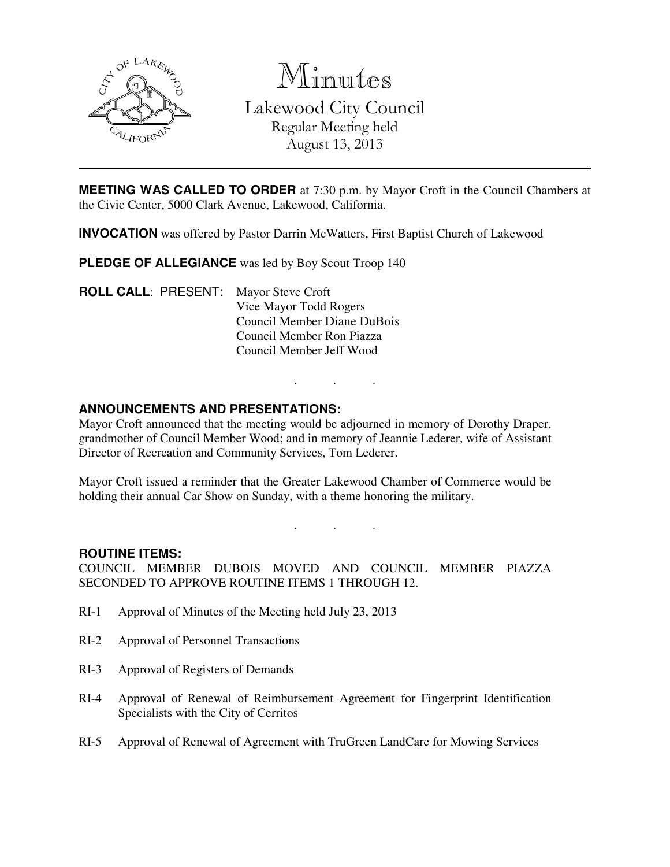

Minutes

Lakewood City Council Regular Meeting held August 13, 2013

**MEETING WAS CALLED TO ORDER** at 7:30 p.m. by Mayor Croft in the Council Chambers at the Civic Center, 5000 Clark Avenue, Lakewood, California.

**INVOCATION** was offered by Pastor Darrin McWatters, First Baptist Church of Lakewood

**PLEDGE OF ALLEGIANCE** was led by Boy Scout Troop 140

**ROLL CALL**: PRESENT: Mayor Steve Croft Vice Mayor Todd Rogers Council Member Diane DuBois Council Member Ron Piazza Council Member Jeff Wood

# **ANNOUNCEMENTS AND PRESENTATIONS:**

Mayor Croft announced that the meeting would be adjourned in memory of Dorothy Draper, grandmother of Council Member Wood; and in memory of Jeannie Lederer, wife of Assistant Director of Recreation and Community Services, Tom Lederer.

. . .

Mayor Croft issued a reminder that the Greater Lakewood Chamber of Commerce would be holding their annual Car Show on Sunday, with a theme honoring the military.

. . .

#### **ROUTINE ITEMS:**

COUNCIL MEMBER DUBOIS MOVED AND COUNCIL MEMBER PIAZZA SECONDED TO APPROVE ROUTINE ITEMS 1 THROUGH 12.

- RI-1 Approval of Minutes of the Meeting held July 23, 2013
- RI-2 Approval of Personnel Transactions
- RI-3 Approval of Registers of Demands
- RI-4 Approval of Renewal of Reimbursement Agreement for Fingerprint Identification Specialists with the City of Cerritos
- RI-5 Approval of Renewal of Agreement with TruGreen LandCare for Mowing Services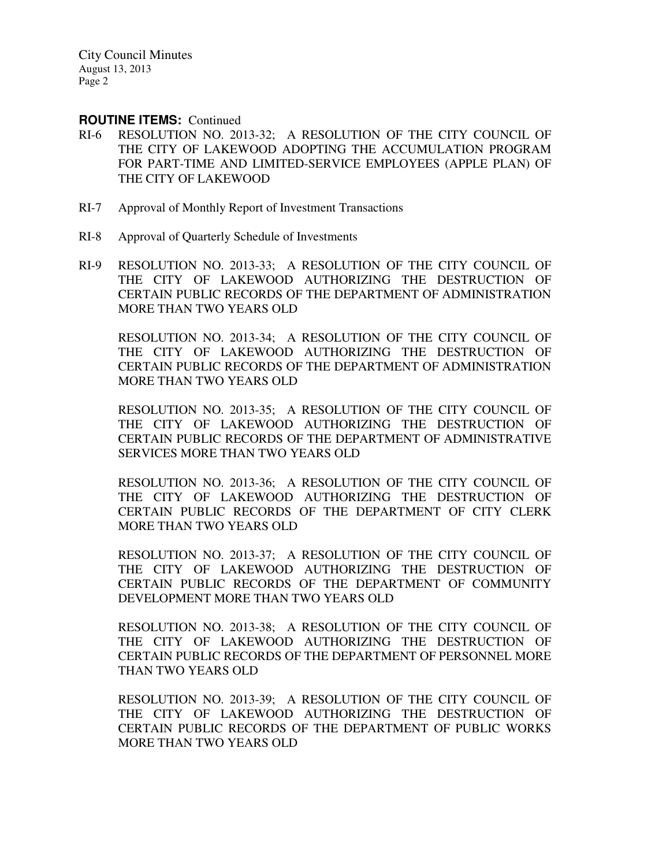#### **ROUTINE ITEMS:** Continued

- RI-6 RESOLUTION NO. 2013-32; A RESOLUTION OF THE CITY COUNCIL OF THE CITY OF LAKEWOOD ADOPTING THE ACCUMULATION PROGRAM FOR PART-TIME AND LIMITED-SERVICE EMPLOYEES (APPLE PLAN) OF THE CITY OF LAKEWOOD
- RI-7 Approval of Monthly Report of Investment Transactions
- RI-8 Approval of Quarterly Schedule of Investments
- RI-9 RESOLUTION NO. 2013-33; A RESOLUTION OF THE CITY COUNCIL OF THE CITY OF LAKEWOOD AUTHORIZING THE DESTRUCTION OF CERTAIN PUBLIC RECORDS OF THE DEPARTMENT OF ADMINISTRATION MORE THAN TWO YEARS OLD

 RESOLUTION NO. 2013-34; A RESOLUTION OF THE CITY COUNCIL OF THE CITY OF LAKEWOOD AUTHORIZING THE DESTRUCTION OF CERTAIN PUBLIC RECORDS OF THE DEPARTMENT OF ADMINISTRATION MORE THAN TWO YEARS OLD

 RESOLUTION NO. 2013-35; A RESOLUTION OF THE CITY COUNCIL OF THE CITY OF LAKEWOOD AUTHORIZING THE DESTRUCTION OF CERTAIN PUBLIC RECORDS OF THE DEPARTMENT OF ADMINISTRATIVE SERVICES MORE THAN TWO YEARS OLD

 RESOLUTION NO. 2013-36; A RESOLUTION OF THE CITY COUNCIL OF THE CITY OF LAKEWOOD AUTHORIZING THE DESTRUCTION OF CERTAIN PUBLIC RECORDS OF THE DEPARTMENT OF CITY CLERK MORE THAN TWO YEARS OLD

 RESOLUTION NO. 2013-37; A RESOLUTION OF THE CITY COUNCIL OF THE CITY OF LAKEWOOD AUTHORIZING THE DESTRUCTION OF CERTAIN PUBLIC RECORDS OF THE DEPARTMENT OF COMMUNITY DEVELOPMENT MORE THAN TWO YEARS OLD

 RESOLUTION NO. 2013-38; A RESOLUTION OF THE CITY COUNCIL OF THE CITY OF LAKEWOOD AUTHORIZING THE DESTRUCTION OF CERTAIN PUBLIC RECORDS OF THE DEPARTMENT OF PERSONNEL MORE THAN TWO YEARS OLD

 RESOLUTION NO. 2013-39; A RESOLUTION OF THE CITY COUNCIL OF THE CITY OF LAKEWOOD AUTHORIZING THE DESTRUCTION OF CERTAIN PUBLIC RECORDS OF THE DEPARTMENT OF PUBLIC WORKS MORE THAN TWO YEARS OLD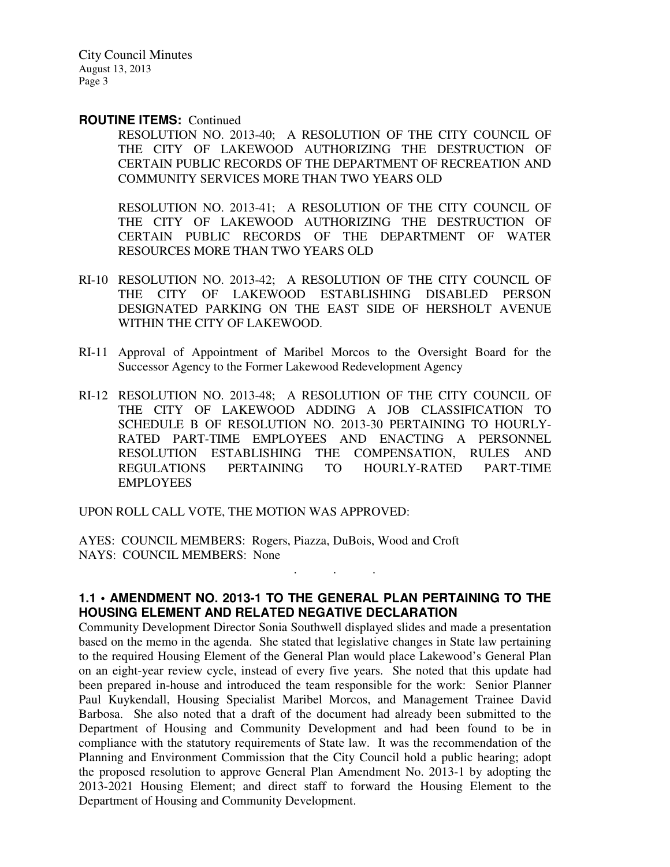#### **ROUTINE ITEMS:** Continued

RESOLUTION NO. 2013-40; A RESOLUTION OF THE CITY COUNCIL OF THE CITY OF LAKEWOOD AUTHORIZING THE DESTRUCTION OF CERTAIN PUBLIC RECORDS OF THE DEPARTMENT OF RECREATION AND COMMUNITY SERVICES MORE THAN TWO YEARS OLD

 RESOLUTION NO. 2013-41; A RESOLUTION OF THE CITY COUNCIL OF THE CITY OF LAKEWOOD AUTHORIZING THE DESTRUCTION OF CERTAIN PUBLIC RECORDS OF THE DEPARTMENT OF WATER RESOURCES MORE THAN TWO YEARS OLD

- RI-10 RESOLUTION NO. 2013-42; A RESOLUTION OF THE CITY COUNCIL OF THE CITY OF LAKEWOOD ESTABLISHING DISABLED PERSON DESIGNATED PARKING ON THE EAST SIDE OF HERSHOLT AVENUE WITHIN THE CITY OF LAKEWOOD.
- RI-11 Approval of Appointment of Maribel Morcos to the Oversight Board for the Successor Agency to the Former Lakewood Redevelopment Agency
- RI-12 RESOLUTION NO. 2013-48; A RESOLUTION OF THE CITY COUNCIL OF THE CITY OF LAKEWOOD ADDING A JOB CLASSIFICATION TO SCHEDULE B OF RESOLUTION NO. 2013-30 PERTAINING TO HOURLY-RATED PART-TIME EMPLOYEES AND ENACTING A PERSONNEL RESOLUTION ESTABLISHING THE COMPENSATION, RULES AND REGULATIONS PERTAINING TO HOURLY-RATED PART-TIME EMPLOYEES

UPON ROLL CALL VOTE, THE MOTION WAS APPROVED:

AYES: COUNCIL MEMBERS: Rogers, Piazza, DuBois, Wood and Croft NAYS: COUNCIL MEMBERS: None

# **1.1 • AMENDMENT NO. 2013-1 TO THE GENERAL PLAN PERTAINING TO THE HOUSING ELEMENT AND RELATED NEGATIVE DECLARATION**

. . .

Community Development Director Sonia Southwell displayed slides and made a presentation based on the memo in the agenda. She stated that legislative changes in State law pertaining to the required Housing Element of the General Plan would place Lakewood's General Plan on an eight-year review cycle, instead of every five years. She noted that this update had been prepared in-house and introduced the team responsible for the work: Senior Planner Paul Kuykendall, Housing Specialist Maribel Morcos, and Management Trainee David Barbosa. She also noted that a draft of the document had already been submitted to the Department of Housing and Community Development and had been found to be in compliance with the statutory requirements of State law. It was the recommendation of the Planning and Environment Commission that the City Council hold a public hearing; adopt the proposed resolution to approve General Plan Amendment No. 2013-1 by adopting the 2013-2021 Housing Element; and direct staff to forward the Housing Element to the Department of Housing and Community Development.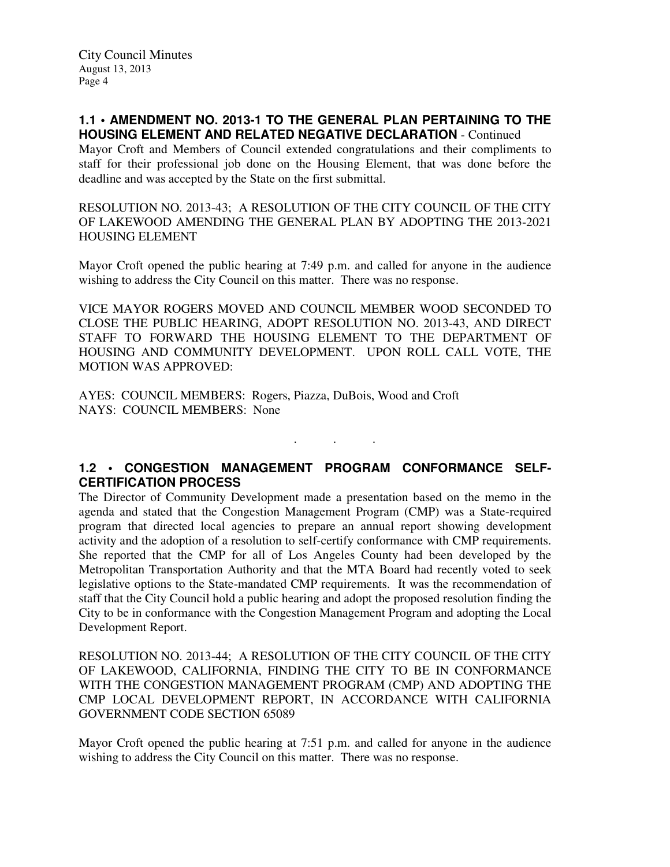## **1.1 • AMENDMENT NO. 2013-1 TO THE GENERAL PLAN PERTAINING TO THE HOUSING ELEMENT AND RELATED NEGATIVE DECLARATION** - Continued

Mayor Croft and Members of Council extended congratulations and their compliments to staff for their professional job done on the Housing Element, that was done before the deadline and was accepted by the State on the first submittal.

RESOLUTION NO. 2013-43; A RESOLUTION OF THE CITY COUNCIL OF THE CITY OF LAKEWOOD AMENDING THE GENERAL PLAN BY ADOPTING THE 2013-2021 HOUSING ELEMENT

Mayor Croft opened the public hearing at 7:49 p.m. and called for anyone in the audience wishing to address the City Council on this matter. There was no response.

VICE MAYOR ROGERS MOVED AND COUNCIL MEMBER WOOD SECONDED TO CLOSE THE PUBLIC HEARING, ADOPT RESOLUTION NO. 2013-43, AND DIRECT STAFF TO FORWARD THE HOUSING ELEMENT TO THE DEPARTMENT OF HOUSING AND COMMUNITY DEVELOPMENT. UPON ROLL CALL VOTE, THE MOTION WAS APPROVED:

AYES: COUNCIL MEMBERS: Rogers, Piazza, DuBois, Wood and Croft NAYS: COUNCIL MEMBERS: None

# **1.2 • CONGESTION MANAGEMENT PROGRAM CONFORMANCE SELF-CERTIFICATION PROCESS**

. . .

The Director of Community Development made a presentation based on the memo in the agenda and stated that the Congestion Management Program (CMP) was a State-required program that directed local agencies to prepare an annual report showing development activity and the adoption of a resolution to self-certify conformance with CMP requirements. She reported that the CMP for all of Los Angeles County had been developed by the Metropolitan Transportation Authority and that the MTA Board had recently voted to seek legislative options to the State-mandated CMP requirements. It was the recommendation of staff that the City Council hold a public hearing and adopt the proposed resolution finding the City to be in conformance with the Congestion Management Program and adopting the Local Development Report.

RESOLUTION NO. 2013-44; A RESOLUTION OF THE CITY COUNCIL OF THE CITY OF LAKEWOOD, CALIFORNIA, FINDING THE CITY TO BE IN CONFORMANCE WITH THE CONGESTION MANAGEMENT PROGRAM (CMP) AND ADOPTING THE CMP LOCAL DEVELOPMENT REPORT, IN ACCORDANCE WITH CALIFORNIA GOVERNMENT CODE SECTION 65089

Mayor Croft opened the public hearing at 7:51 p.m. and called for anyone in the audience wishing to address the City Council on this matter. There was no response.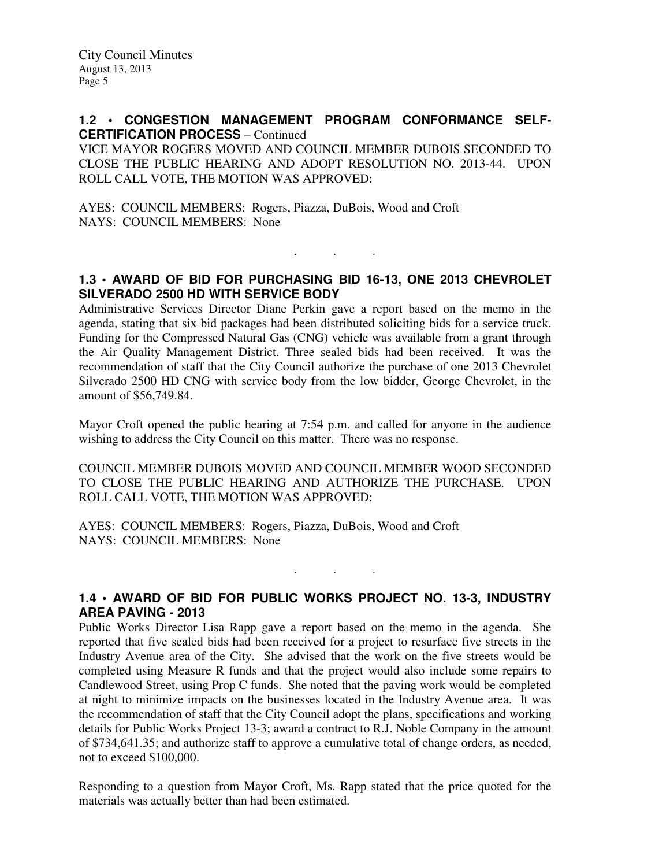### **1.2 • CONGESTION MANAGEMENT PROGRAM CONFORMANCE SELF-CERTIFICATION PROCESS** – Continued

VICE MAYOR ROGERS MOVED AND COUNCIL MEMBER DUBOIS SECONDED TO CLOSE THE PUBLIC HEARING AND ADOPT RESOLUTION NO. 2013-44. UPON ROLL CALL VOTE, THE MOTION WAS APPROVED:

AYES: COUNCIL MEMBERS: Rogers, Piazza, DuBois, Wood and Croft NAYS: COUNCIL MEMBERS: None

# **1.3 • AWARD OF BID FOR PURCHASING BID 16-13, ONE 2013 CHEVROLET SILVERADO 2500 HD WITH SERVICE BODY**

. . .

Administrative Services Director Diane Perkin gave a report based on the memo in the agenda, stating that six bid packages had been distributed soliciting bids for a service truck. Funding for the Compressed Natural Gas (CNG) vehicle was available from a grant through the Air Quality Management District. Three sealed bids had been received. It was the recommendation of staff that the City Council authorize the purchase of one 2013 Chevrolet Silverado 2500 HD CNG with service body from the low bidder, George Chevrolet, in the amount of \$56,749.84.

Mayor Croft opened the public hearing at 7:54 p.m. and called for anyone in the audience wishing to address the City Council on this matter. There was no response.

COUNCIL MEMBER DUBOIS MOVED AND COUNCIL MEMBER WOOD SECONDED TO CLOSE THE PUBLIC HEARING AND AUTHORIZE THE PURCHASE. UPON ROLL CALL VOTE, THE MOTION WAS APPROVED:

AYES: COUNCIL MEMBERS: Rogers, Piazza, DuBois, Wood and Croft NAYS: COUNCIL MEMBERS: None

# **1.4 • AWARD OF BID FOR PUBLIC WORKS PROJECT NO. 13-3, INDUSTRY AREA PAVING - 2013**

. . .

Public Works Director Lisa Rapp gave a report based on the memo in the agenda. She reported that five sealed bids had been received for a project to resurface five streets in the Industry Avenue area of the City. She advised that the work on the five streets would be completed using Measure R funds and that the project would also include some repairs to Candlewood Street, using Prop C funds. She noted that the paving work would be completed at night to minimize impacts on the businesses located in the Industry Avenue area. It was the recommendation of staff that the City Council adopt the plans, specifications and working details for Public Works Project 13-3; award a contract to R.J. Noble Company in the amount of \$734,641.35; and authorize staff to approve a cumulative total of change orders, as needed, not to exceed \$100,000.

Responding to a question from Mayor Croft, Ms. Rapp stated that the price quoted for the materials was actually better than had been estimated.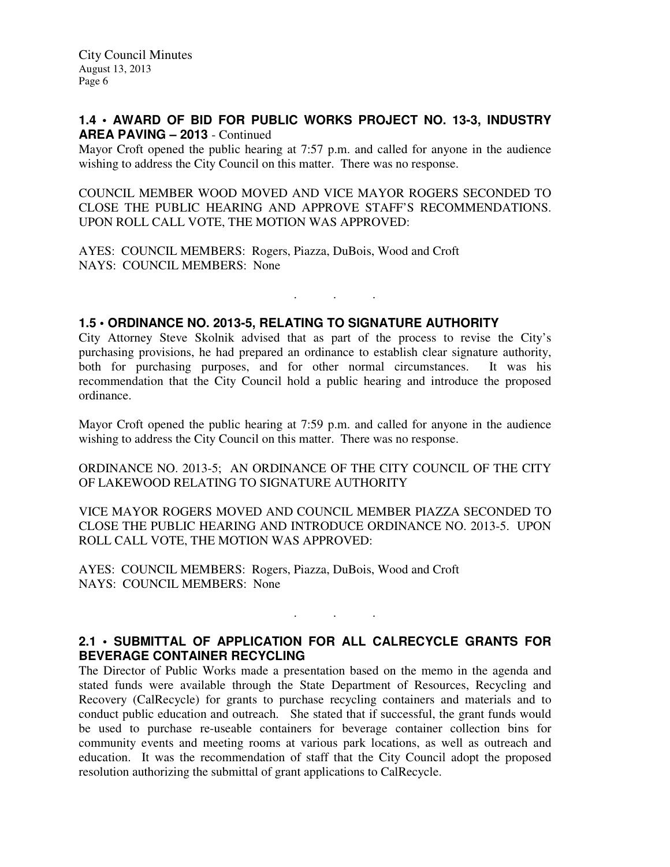## **1.4 • AWARD OF BID FOR PUBLIC WORKS PROJECT NO. 13-3, INDUSTRY AREA PAVING – 2013** - Continued

Mayor Croft opened the public hearing at 7:57 p.m. and called for anyone in the audience wishing to address the City Council on this matter. There was no response.

COUNCIL MEMBER WOOD MOVED AND VICE MAYOR ROGERS SECONDED TO CLOSE THE PUBLIC HEARING AND APPROVE STAFF'S RECOMMENDATIONS. UPON ROLL CALL VOTE, THE MOTION WAS APPROVED:

AYES: COUNCIL MEMBERS: Rogers, Piazza, DuBois, Wood and Croft NAYS: COUNCIL MEMBERS: None

## **1.5 • ORDINANCE NO. 2013-5, RELATING TO SIGNATURE AUTHORITY**

City Attorney Steve Skolnik advised that as part of the process to revise the City's purchasing provisions, he had prepared an ordinance to establish clear signature authority, both for purchasing purposes, and for other normal circumstances. It was his recommendation that the City Council hold a public hearing and introduce the proposed ordinance.

. . .

Mayor Croft opened the public hearing at 7:59 p.m. and called for anyone in the audience wishing to address the City Council on this matter. There was no response.

ORDINANCE NO. 2013-5; AN ORDINANCE OF THE CITY COUNCIL OF THE CITY OF LAKEWOOD RELATING TO SIGNATURE AUTHORITY

VICE MAYOR ROGERS MOVED AND COUNCIL MEMBER PIAZZA SECONDED TO CLOSE THE PUBLIC HEARING AND INTRODUCE ORDINANCE NO. 2013-5. UPON ROLL CALL VOTE, THE MOTION WAS APPROVED:

AYES: COUNCIL MEMBERS: Rogers, Piazza, DuBois, Wood and Croft NAYS: COUNCIL MEMBERS: None

## **2.1 • SUBMITTAL OF APPLICATION FOR ALL CALRECYCLE GRANTS FOR BEVERAGE CONTAINER RECYCLING**

. . .

The Director of Public Works made a presentation based on the memo in the agenda and stated funds were available through the State Department of Resources, Recycling and Recovery (CalRecycle) for grants to purchase recycling containers and materials and to conduct public education and outreach. She stated that if successful, the grant funds would be used to purchase re-useable containers for beverage container collection bins for community events and meeting rooms at various park locations, as well as outreach and education. It was the recommendation of staff that the City Council adopt the proposed resolution authorizing the submittal of grant applications to CalRecycle.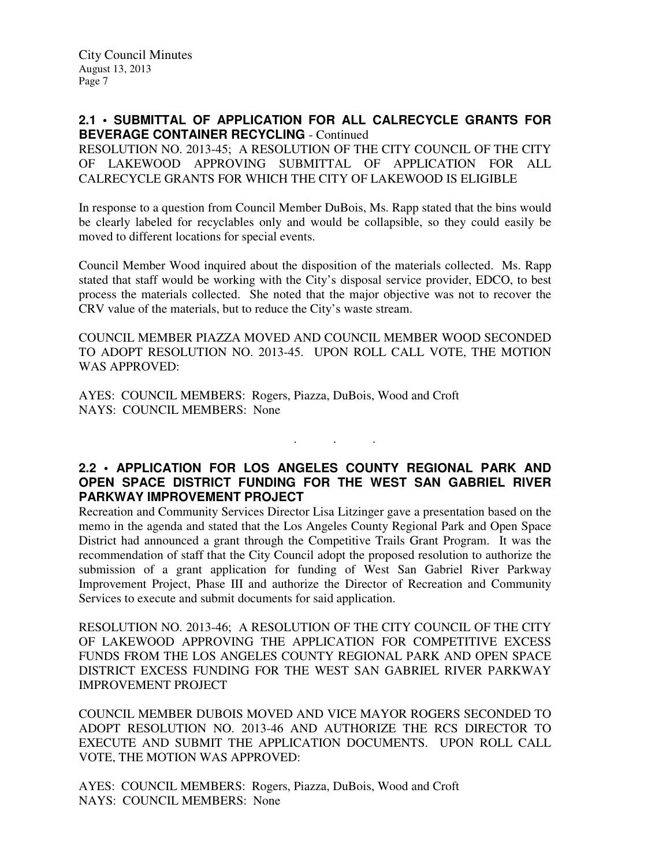# **2.1 • SUBMITTAL OF APPLICATION FOR ALL CALRECYCLE GRANTS FOR BEVERAGE CONTAINER RECYCLING** - Continued

RESOLUTION NO. 2013-45; A RESOLUTION OF THE CITY COUNCIL OF THE CITY OF LAKEWOOD APPROVING SUBMITTAL OF APPLICATION FOR ALL CALRECYCLE GRANTS FOR WHICH THE CITY OF LAKEWOOD IS ELIGIBLE

In response to a question from Council Member DuBois, Ms. Rapp stated that the bins would be clearly labeled for recyclables only and would be collapsible, so they could easily be moved to different locations for special events.

Council Member Wood inquired about the disposition of the materials collected. Ms. Rapp stated that staff would be working with the City's disposal service provider, EDCO, to best process the materials collected. She noted that the major objective was not to recover the CRV value of the materials, but to reduce the City's waste stream.

COUNCIL MEMBER PIAZZA MOVED AND COUNCIL MEMBER WOOD SECONDED TO ADOPT RESOLUTION NO. 2013-45. UPON ROLL CALL VOTE, THE MOTION WAS APPROVED:

AYES: COUNCIL MEMBERS: Rogers, Piazza, DuBois, Wood and Croft NAYS: COUNCIL MEMBERS: None

# **2.2 • APPLICATION FOR LOS ANGELES COUNTY REGIONAL PARK AND OPEN SPACE DISTRICT FUNDING FOR THE WEST SAN GABRIEL RIVER PARKWAY IMPROVEMENT PROJECT**

. . .

Recreation and Community Services Director Lisa Litzinger gave a presentation based on the memo in the agenda and stated that the Los Angeles County Regional Park and Open Space District had announced a grant through the Competitive Trails Grant Program. It was the recommendation of staff that the City Council adopt the proposed resolution to authorize the submission of a grant application for funding of West San Gabriel River Parkway Improvement Project, Phase III and authorize the Director of Recreation and Community Services to execute and submit documents for said application.

RESOLUTION NO. 2013-46; A RESOLUTION OF THE CITY COUNCIL OF THE CITY OF LAKEWOOD APPROVING THE APPLICATION FOR COMPETITIVE EXCESS FUNDS FROM THE LOS ANGELES COUNTY REGIONAL PARK AND OPEN SPACE DISTRICT EXCESS FUNDING FOR THE WEST SAN GABRIEL RIVER PARKWAY IMPROVEMENT PROJECT

COUNCIL MEMBER DUBOIS MOVED AND VICE MAYOR ROGERS SECONDED TO ADOPT RESOLUTION NO. 2013-46 AND AUTHORIZE THE RCS DIRECTOR TO EXECUTE AND SUBMIT THE APPLICATION DOCUMENTS. UPON ROLL CALL VOTE, THE MOTION WAS APPROVED:

AYES: COUNCIL MEMBERS: Rogers, Piazza, DuBois, Wood and Croft NAYS: COUNCIL MEMBERS: None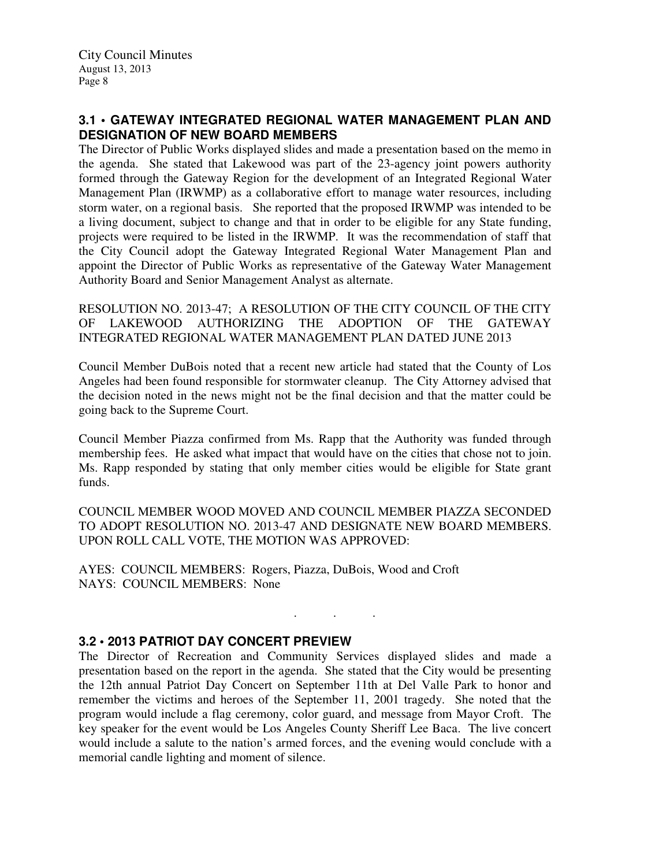# **3.1 • GATEWAY INTEGRATED REGIONAL WATER MANAGEMENT PLAN AND DESIGNATION OF NEW BOARD MEMBERS**

The Director of Public Works displayed slides and made a presentation based on the memo in the agenda. She stated that Lakewood was part of the 23-agency joint powers authority formed through the Gateway Region for the development of an Integrated Regional Water Management Plan (IRWMP) as a collaborative effort to manage water resources, including storm water, on a regional basis. She reported that the proposed IRWMP was intended to be a living document, subject to change and that in order to be eligible for any State funding, projects were required to be listed in the IRWMP. It was the recommendation of staff that the City Council adopt the Gateway Integrated Regional Water Management Plan and appoint the Director of Public Works as representative of the Gateway Water Management Authority Board and Senior Management Analyst as alternate.

RESOLUTION NO. 2013-47; A RESOLUTION OF THE CITY COUNCIL OF THE CITY OF LAKEWOOD AUTHORIZING THE ADOPTION OF THE GATEWAY INTEGRATED REGIONAL WATER MANAGEMENT PLAN DATED JUNE 2013

Council Member DuBois noted that a recent new article had stated that the County of Los Angeles had been found responsible for stormwater cleanup. The City Attorney advised that the decision noted in the news might not be the final decision and that the matter could be going back to the Supreme Court.

Council Member Piazza confirmed from Ms. Rapp that the Authority was funded through membership fees. He asked what impact that would have on the cities that chose not to join. Ms. Rapp responded by stating that only member cities would be eligible for State grant funds.

COUNCIL MEMBER WOOD MOVED AND COUNCIL MEMBER PIAZZA SECONDED TO ADOPT RESOLUTION NO. 2013-47 AND DESIGNATE NEW BOARD MEMBERS. UPON ROLL CALL VOTE, THE MOTION WAS APPROVED:

. . .

AYES: COUNCIL MEMBERS: Rogers, Piazza, DuBois, Wood and Croft NAYS: COUNCIL MEMBERS: None

## **3.2 • 2013 PATRIOT DAY CONCERT PREVIEW**

The Director of Recreation and Community Services displayed slides and made a presentation based on the report in the agenda. She stated that the City would be presenting the 12th annual Patriot Day Concert on September 11th at Del Valle Park to honor and remember the victims and heroes of the September 11, 2001 tragedy. She noted that the program would include a flag ceremony, color guard, and message from Mayor Croft. The key speaker for the event would be Los Angeles County Sheriff Lee Baca. The live concert would include a salute to the nation's armed forces, and the evening would conclude with a memorial candle lighting and moment of silence.